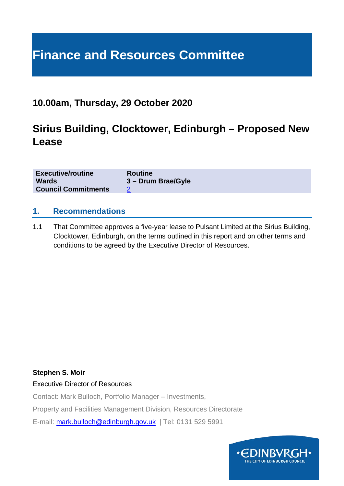# **Finance and Resources Committee**

### **10.00am, Thursday, 29 October 2020**

### **Sirius Building, Clocktower, Edinburgh – Proposed New Lease**

| <b>Executive/routine</b>   | <b>Routine</b>     |
|----------------------------|--------------------|
| <b>Wards</b>               | 3 – Drum Brae/Gyle |
| <b>Council Commitments</b> |                    |

#### **1. Recommendations**

1.1 That Committee approves a five-year lease to Pulsant Limited at the Sirius Building, Clocktower, Edinburgh, on the terms outlined in this report and on other terms and conditions to be agreed by the Executive Director of Resources.

#### **Stephen S. Moir**

Executive Director of Resources

Contact: Mark Bulloch, Portfolio Manager – Investments,

Property and Facilities Management Division, Resources Directorate

E-mail: [mark.bulloch@edinburgh.gov.uk](mailto:mark.bulloch@edinburgh.gov.uk) | Tel: 0131 529 5991

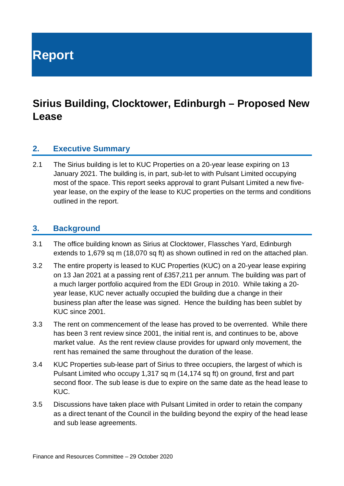**Report**

## **Sirius Building, Clocktower, Edinburgh – Proposed New Lease**

#### **2. Executive Summary**

2.1 The Sirius building is let to KUC Properties on a 20-year lease expiring on 13 January 2021. The building is, in part, sub-let to with Pulsant Limited occupying most of the space. This report seeks approval to grant Pulsant Limited a new fiveyear lease, on the expiry of the lease to KUC properties on the terms and conditions outlined in the report.

#### **3. Background**

- 3.1 The office building known as Sirius at Clocktower, Flassches Yard, Edinburgh extends to 1,679 sq m (18,070 sq ft) as shown outlined in red on the attached plan.
- 3.2 The entire property is leased to KUC Properties (KUC) on a 20-year lease expiring on 13 Jan 2021 at a passing rent of £357,211 per annum. The building was part of a much larger portfolio acquired from the EDI Group in 2010. While taking a 20 year lease, KUC never actually occupied the building due a change in their business plan after the lease was signed. Hence the building has been sublet by KUC since 2001.
- 3.3 The rent on commencement of the lease has proved to be overrented. While there has been 3 rent review since 2001, the initial rent is, and continues to be, above market value. As the rent review clause provides for upward only movement, the rent has remained the same throughout the duration of the lease.
- 3.4 KUC Properties sub-lease part of Sirius to three occupiers, the largest of which is Pulsant Limited who occupy 1,317 sq m (14,174 sq ft) on ground, first and part second floor. The sub lease is due to expire on the same date as the head lease to KUC.
- 3.5 Discussions have taken place with Pulsant Limited in order to retain the company as a direct tenant of the Council in the building beyond the expiry of the head lease and sub lease agreements.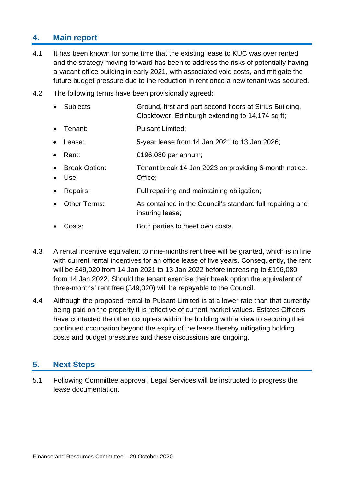### **4. Main report**

- 4.1 It has been known for some time that the existing lease to KUC was over rented and the strategy moving forward has been to address the risks of potentially having a vacant office building in early 2021, with associated void costs, and mitigate the future budget pressure due to the reduction in rent once a new tenant was secured.
- 4.2 The following terms have been provisionally agreed:
	- Subjects Ground, first and part second floors at Sirius Building, Clocktower, Edinburgh extending to 14,174 sq ft;
	- Tenant: Pulsant Limited;
	- Lease: 5-year lease from 14 Jan 2021 to 13 Jan 2026;
	- Rent: £196,080 per annum;
	- Break Option: Tenant break 14 Jan 2023 on providing 6-month notice.
	- Use: Office:
	- Repairs: Full repairing and maintaining obligation;
	- Other Terms: As contained in the Council's standard full repairing and insuring lease;
	- Costs: Both parties to meet own costs.
- 4.3 A rental incentive equivalent to nine-months rent free will be granted, which is in line with current rental incentives for an office lease of five years. Consequently, the rent will be £49,020 from 14 Jan 2021 to 13 Jan 2022 before increasing to £196,080 from 14 Jan 2022. Should the tenant exercise their break option the equivalent of three-months' rent free (£49,020) will be repayable to the Council.
- 4.4 Although the proposed rental to Pulsant Limited is at a lower rate than that currently being paid on the property it is reflective of current market values. Estates Officers have contacted the other occupiers within the building with a view to securing their continued occupation beyond the expiry of the lease thereby mitigating holding costs and budget pressures and these discussions are ongoing.

#### **5. Next Steps**

5.1 Following Committee approval, Legal Services will be instructed to progress the lease documentation.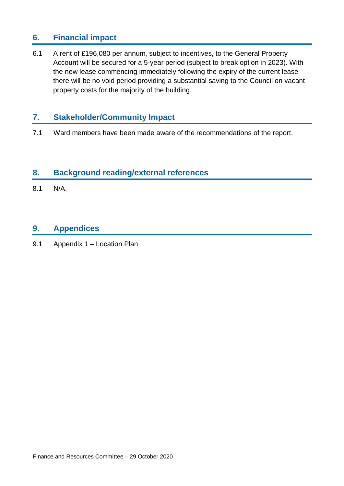### **6. Financial impact**

6.1 A rent of £196,080 per annum, subject to incentives, to the General Property Account will be secured for a 5-year period (subject to break option in 2023). With the new lease commencing immediately following the expiry of the current lease there will be no void period providing a substantial saving to the Council on vacant property costs for the majority of the building.

### **7. Stakeholder/Community Impact**

7.1 Ward members have been made aware of the recommendations of the report.

#### **8. Background reading/external references**

8.1 N/A.

#### **9. Appendices**

9.1 Appendix 1 – Location Plan